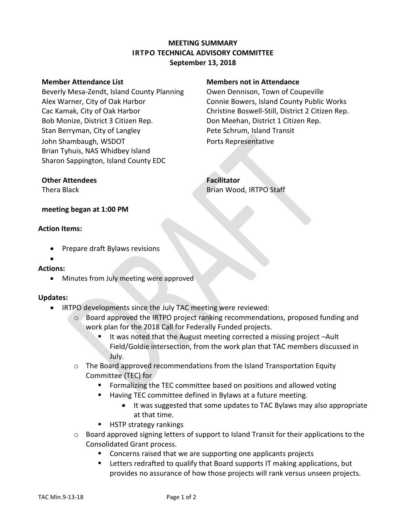## **MEETING SUMMARY IRTPO TECHNICAL ADVISORY COMMITTEE September 13, 2018**

#### **Member Attendance List Members not in Attendance**

Beverly Mesa-Zendt, Island County Planning Owen Dennison, Town of Coupeville Alex Warner, City of Oak Harbor Connie Bowers, Island County Public Works Cac Kamak, City of Oak Harbor Christine Boswell-Still, District 2 Citizen Rep. Bob Monize, District 3 Citizen Rep. Don Meehan, District 1 Citizen Rep. Stan Berryman, City of Langley **Pete Schrum, Island Transit** John Shambaugh, WSDOT **Ports Representative** Brian Tyhuis, NAS Whidbey Island Sharon Sappington, Island County EDC

## **Other Attendees Facilitator**

Thera Black **Brian Wood, IRTPO Staff** 

## **meeting began at 1:00 PM**

## **Action Items:**

- Prepare draft Bylaws revisions
- $\bullet$

# **Actions:**

• Minutes from July meeting were approved

## **Updates:**

- IRTPO developments since the July TAC meeting were reviewed:
	- o Board approved the IRTPO project ranking recommendations, proposed funding and work plan for the 2018 Call for Federally Funded projects.
		- It was noted that the August meeting corrected a missing project –Ault Field/Goldie intersection, from the work plan that TAC members discussed in July.
	- $\circ$  The Board approved recommendations from the Island Transportation Equity Committee (TEC) for
		- **Formalizing the TEC committee based on positions and allowed voting**
		- Having TEC committee defined in Bylaws at a future meeting.
			- It was suggested that some updates to TAC Bylaws may also appropriate at that time.
		- HSTP strategy rankings
	- $\circ$  Board approved signing letters of support to Island Transit for their applications to the Consolidated Grant process.
		- Concerns raised that we are supporting one applicants projects
		- **EXECTER 1** Letters redrafted to qualify that Board supports IT making applications, but provides no assurance of how those projects will rank versus unseen projects.